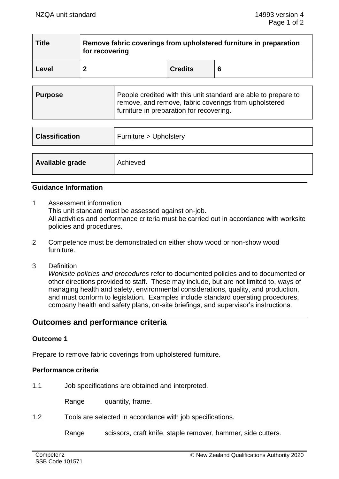| <b>Title</b> | Remove fabric coverings from upholstered furniture in preparation<br>for recovering |                |   |
|--------------|-------------------------------------------------------------------------------------|----------------|---|
| Level        |                                                                                     | <b>Credits</b> | 6 |

| Purpose | People credited with this unit standard are able to prepare to<br>remove, and remove, fabric coverings from upholstered<br>furniture in preparation for recovering. |
|---------|---------------------------------------------------------------------------------------------------------------------------------------------------------------------|
|         |                                                                                                                                                                     |

| <b>Classification</b> | Furniture > Upholstery |
|-----------------------|------------------------|
|                       |                        |
| Available grade       | Achieved               |

## **Guidance Information**

- 1 Assessment information This unit standard must be assessed against on-job. All activities and performance criteria must be carried out in accordance with worksite policies and procedures.
- 2 Competence must be demonstrated on either show wood or non-show wood furniture.
- 3 Definition

*Worksite policies and procedures* refer to documented policies and to documented or other directions provided to staff. These may include, but are not limited to, ways of managing health and safety, environmental considerations, quality, and production, and must conform to legislation. Examples include standard operating procedures, company health and safety plans, on-site briefings, and supervisor's instructions.

# **Outcomes and performance criteria**

## **Outcome 1**

Prepare to remove fabric coverings from upholstered furniture.

#### **Performance criteria**

1.1 Job specifications are obtained and interpreted.

Range quantity, frame.

1.2 Tools are selected in accordance with job specifications.

Range scissors, craft knife, staple remover, hammer, side cutters.